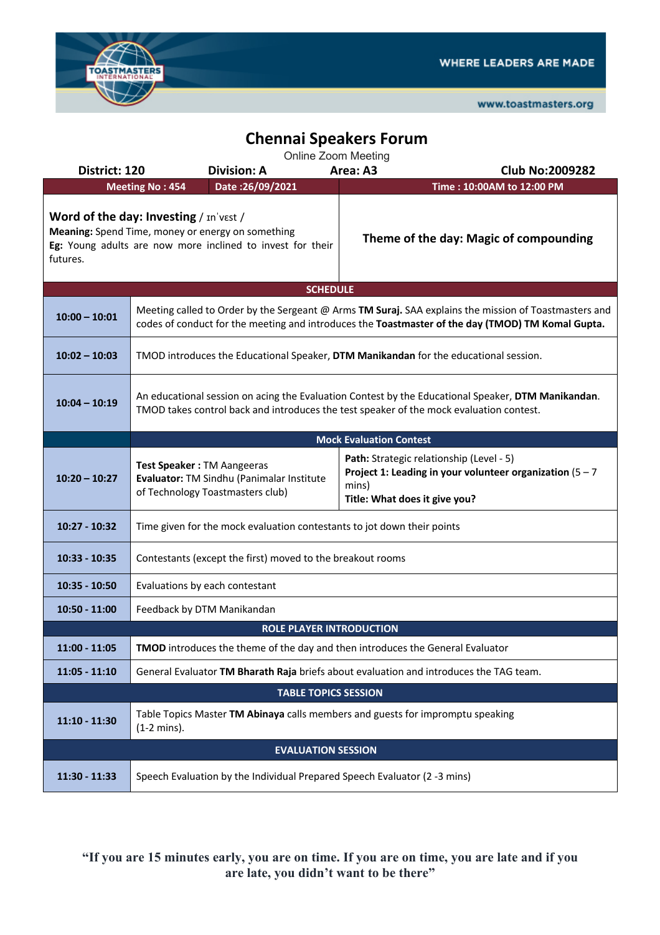

www.toastmasters.org

## **Chennai Speakers Forum**

Online Zoom Meeting

| District: 120                                                                                                                                                                                                   |                                                                                                                                                                                                            | <b>Division: A</b>                        | Area: A3                               | <b>Club No:2009282</b>                                                                                  |  |  |  |  |  |
|-----------------------------------------------------------------------------------------------------------------------------------------------------------------------------------------------------------------|------------------------------------------------------------------------------------------------------------------------------------------------------------------------------------------------------------|-------------------------------------------|----------------------------------------|---------------------------------------------------------------------------------------------------------|--|--|--|--|--|
|                                                                                                                                                                                                                 | <b>Meeting No: 454</b>                                                                                                                                                                                     | Date: 26/09/2021                          |                                        | Time: 10:00AM to 12:00 PM                                                                               |  |  |  |  |  |
| Word of the day: Investing / In'vest /<br>Meaning: Spend Time, money or energy on something<br>Theme of the day: Magic of compounding<br>Eg: Young adults are now more inclined to invest for their<br>futures. |                                                                                                                                                                                                            |                                           |                                        |                                                                                                         |  |  |  |  |  |
|                                                                                                                                                                                                                 | <b>SCHEDULE</b>                                                                                                                                                                                            |                                           |                                        |                                                                                                         |  |  |  |  |  |
| $10:00 - 10:01$                                                                                                                                                                                                 | Meeting called to Order by the Sergeant @ Arms TM Suraj. SAA explains the mission of Toastmasters and<br>codes of conduct for the meeting and introduces the Toastmaster of the day (TMOD) TM Komal Gupta. |                                           |                                        |                                                                                                         |  |  |  |  |  |
| $10:02 - 10:03$                                                                                                                                                                                                 | TMOD introduces the Educational Speaker, DTM Manikandan for the educational session.                                                                                                                       |                                           |                                        |                                                                                                         |  |  |  |  |  |
| $10:04 - 10:19$                                                                                                                                                                                                 | An educational session on acing the Evaluation Contest by the Educational Speaker, DTM Manikandan.<br>TMOD takes control back and introduces the test speaker of the mock evaluation contest.              |                                           |                                        |                                                                                                         |  |  |  |  |  |
|                                                                                                                                                                                                                 |                                                                                                                                                                                                            |                                           | <b>Mock Evaluation Contest</b>         |                                                                                                         |  |  |  |  |  |
| $10:20 - 10:27$                                                                                                                                                                                                 | Test Speaker: TM Aangeeras<br>of Technology Toastmasters club)                                                                                                                                             | Evaluator: TM Sindhu (Panimalar Institute | mins)<br>Title: What does it give you? | Path: Strategic relationship (Level - 5)<br>Project 1: Leading in your volunteer organization $(5 - 7)$ |  |  |  |  |  |
| $10:27 - 10:32$                                                                                                                                                                                                 | Time given for the mock evaluation contestants to jot down their points                                                                                                                                    |                                           |                                        |                                                                                                         |  |  |  |  |  |
| $10:33 - 10:35$                                                                                                                                                                                                 | Contestants (except the first) moved to the breakout rooms                                                                                                                                                 |                                           |                                        |                                                                                                         |  |  |  |  |  |
| $10:35 - 10:50$                                                                                                                                                                                                 | Evaluations by each contestant                                                                                                                                                                             |                                           |                                        |                                                                                                         |  |  |  |  |  |
| $10:50 - 11:00$                                                                                                                                                                                                 | Feedback by DTM Manikandan                                                                                                                                                                                 |                                           |                                        |                                                                                                         |  |  |  |  |  |
|                                                                                                                                                                                                                 |                                                                                                                                                                                                            | <b>ROLE PLAYER INTRODUCTION</b>           |                                        |                                                                                                         |  |  |  |  |  |
| $11:00 - 11:05$                                                                                                                                                                                                 | <b>TMOD</b> introduces the theme of the day and then introduces the General Evaluator                                                                                                                      |                                           |                                        |                                                                                                         |  |  |  |  |  |
| $11:05 - 11:10$                                                                                                                                                                                                 | General Evaluator TM Bharath Raja briefs about evaluation and introduces the TAG team.                                                                                                                     |                                           |                                        |                                                                                                         |  |  |  |  |  |
|                                                                                                                                                                                                                 |                                                                                                                                                                                                            | <b>TABLE TOPICS SESSION</b>               |                                        |                                                                                                         |  |  |  |  |  |
| $11:10 - 11:30$                                                                                                                                                                                                 | Table Topics Master TM Abinaya calls members and guests for impromptu speaking<br>$(1-2 \text{ mins}).$                                                                                                    |                                           |                                        |                                                                                                         |  |  |  |  |  |
| <b>EVALUATION SESSION</b>                                                                                                                                                                                       |                                                                                                                                                                                                            |                                           |                                        |                                                                                                         |  |  |  |  |  |
| $11:30 - 11:33$                                                                                                                                                                                                 | Speech Evaluation by the Individual Prepared Speech Evaluator (2 -3 mins)                                                                                                                                  |                                           |                                        |                                                                                                         |  |  |  |  |  |

**"If you are 15 minutes early, you are on time. If you are on time, you are late and if you are late, you didn't want to be there"**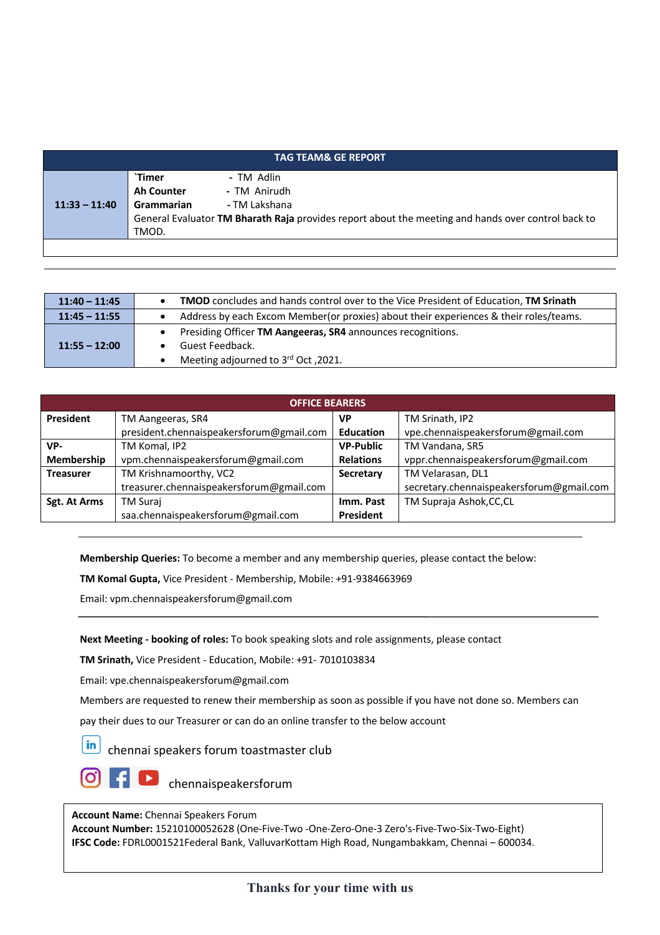| <b>TAG TEAM&amp; GE REPORT</b> |                                                                                                    |               |  |  |
|--------------------------------|----------------------------------------------------------------------------------------------------|---------------|--|--|
|                                | `Timer                                                                                             | - TM Adlin    |  |  |
|                                | <b>Ah Counter</b>                                                                                  | - TM Anirudh  |  |  |
| $11:33 - 11:40$                | Grammarian                                                                                         | - TM Lakshana |  |  |
|                                | General Evaluator TM Bharath Raja provides report about the meeting and hands over control back to |               |  |  |
|                                | TMOD.                                                                                              |               |  |  |
|                                |                                                                                                    |               |  |  |

| $11:40 - 11:45$ | <b>TMOD</b> concludes and hands control over to the Vice President of Education, <b>TM Srinath</b> |  |  |
|-----------------|----------------------------------------------------------------------------------------------------|--|--|
| $11:45 - 11:55$ | Address by each Excom Member(or proxies) about their experiences & their roles/teams.              |  |  |
| $11:55 - 12:00$ | Presiding Officer TM Aangeeras, SR4 announces recognitions.                                        |  |  |
|                 | Guest Feedback.                                                                                    |  |  |
|                 | Meeting adjourned to 3rd Oct, 2021.                                                                |  |  |

| <b>OFFICE BEARERS</b> |                                          |                  |                                          |  |  |  |
|-----------------------|------------------------------------------|------------------|------------------------------------------|--|--|--|
| <b>President</b>      | TM Aangeeras, SR4                        | VP               | TM Srinath, IP2                          |  |  |  |
|                       | president.chennaispeakersforum@gmail.com | <b>Education</b> | vpe.chennaispeakersforum@gmail.com       |  |  |  |
| VP-                   | <b>VP-Public</b><br>TM Komal, IP2        |                  | TM Vandana, SR5                          |  |  |  |
| Membership            | vpm.chennaispeakersforum@gmail.com       | <b>Relations</b> | vppr.chennaispeakersforum@gmail.com      |  |  |  |
| <b>Treasurer</b>      | TM Krishnamoorthy, VC2                   | Secretary        | TM Velarasan, DL1                        |  |  |  |
|                       | treasurer.chennaispeakersforum@gmail.com |                  | secretary.chennaispeakersforum@gmail.com |  |  |  |
| Sgt. At Arms          | <b>TM Suraj</b>                          | Imm. Past        | TM Supraja Ashok, CC, CL                 |  |  |  |
|                       | saa.chennaispeakersforum@gmail.com       | President        |                                          |  |  |  |

**Membership Queries:** To become a member and any membership queries, please contact the below:

**TM Komal Gupta,** Vice President - Membership, Mobile: +91-9384663969

Email: vpm.chennaispeakersforum@gmail.com

**Next Meeting - booking of roles:** To book speaking slots and role assignments, please contact

**TM Srinath,** Vice President - Education, Mobile: +91- 7010103834

Email: vpe.chennaispeakersforum@gmail.com

Members are requested to renew their membership as soon as possible if you have not done so. Members can

pay their dues to our Treasurer or can do an online transfer to the below account

in chennai speakers forum toastmaster club

**D** chennaispeakersforum

**Account Name:** Chennai Speakers Forum

**Account Number:** 15210100052628 (One-Five-Two -One-Zero-One-3 Zero's-Five-Two-Six-Two-Eight) **IFSC Code:** FDRL0001521Federal Bank, ValluvarKottam High Road, Nungambakkam, Chennai – 600034.